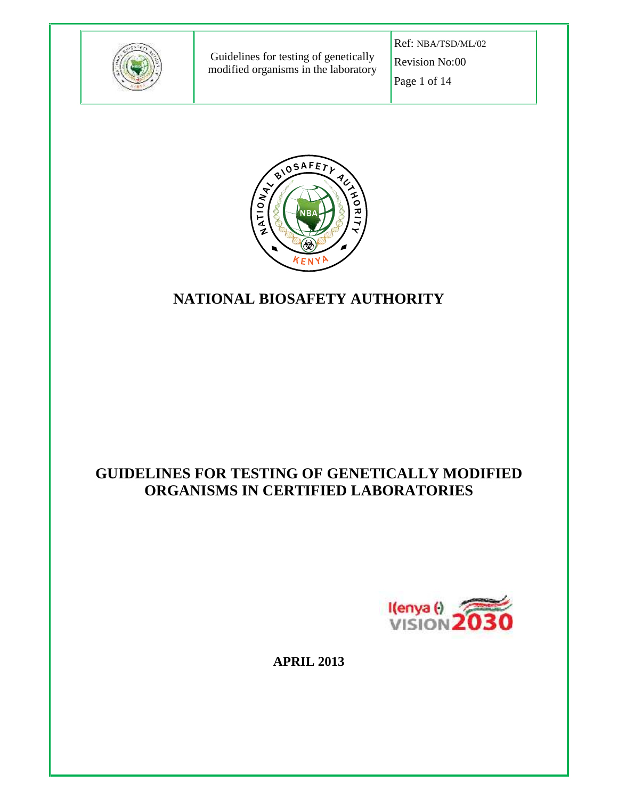

Guidelines for testing of genetically modified organisms in the laboratory Ref: NBA/TSD/ML/02 Revision No:00 Page 1 of 14



# **NATIONAL BIOSAFETY AUTHORITY**

# **GUIDELINES FOR TESTING OF GENETICALLY MODIFIED ORGANISMS IN CERTIFIED LABORATORIES**



**APRIL 2013**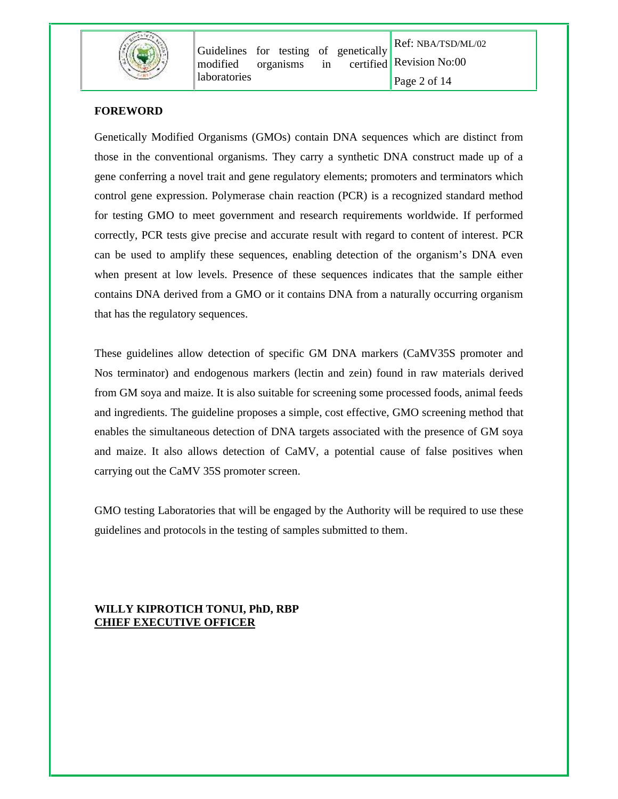

## **FOREWORD**

Genetically Modified Organisms (GMOs) contain DNA sequences which are distinct from those in the conventional organisms. They carry a synthetic DNA construct made up of a gene conferring a novel trait and gene regulatory elements; promoters and terminators which control gene expression. Polymerase chain reaction (PCR) is a recognized standard method for testing GMO to meet government and research requirements worldwide. If performed correctly, PCR tests give precise and accurate result with regard to content of interest. PCR can be used to amplify these sequences, enabling detection of the organism's DNA even when present at low levels. Presence of these sequences indicates that the sample either contains DNA derived from a GMO or it contains DNA from a naturally occurring organism that has the regulatory sequences.

These guidelines allow detection of specific GM DNA markers (CaMV35S promoter and Nos terminator) and endogenous markers (lectin and zein) found in raw materials derived from GM soya and maize. It is also suitable for screening some processed foods, animal feeds and ingredients. The guideline proposes a simple, cost effective, GMO screening method that enables the simultaneous detection of DNA targets associated with the presence of GM soya and maize. It also allows detection of CaMV, a potential cause of false positives when carrying out the CaMV 35S promoter screen.

GMO testing Laboratories that will be engaged by the Authority will be required to use these guidelines and protocols in the testing of samples submitted to them.

# **WILLY KIPROTICH TONUI, PhD, RBP CHIEF EXECUTIVE OFFICER**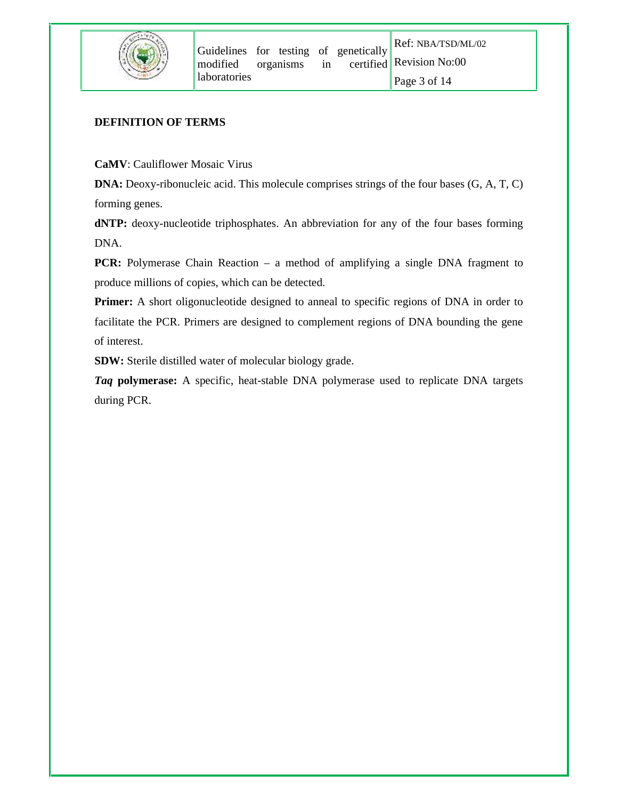

#### **DEFINITION OF TERMS**

**CaMV**: Cauliflower Mosaic Virus

**DNA:** Deoxy-ribonucleic acid. This molecule comprises strings of the four bases (G, A, T, C) forming genes.

**dNTP:** deoxy-nucleotide triphosphates. An abbreviation for any of the four bases forming DNA.

**PCR:** Polymerase Chain Reaction – a method of amplifying a single DNA fragment to produce millions of copies, which can be detected.

**Primer:** A short oligonucleotide designed to anneal to specific regions of DNA in order to facilitate the PCR. Primers are designed to complement regions of DNA bounding the gene of interest.

**SDW:** Sterile distilled water of molecular biology grade.

*Taq* **polymerase:** A specific, heat-stable DNA polymerase used to replicate DNA targets during PCR.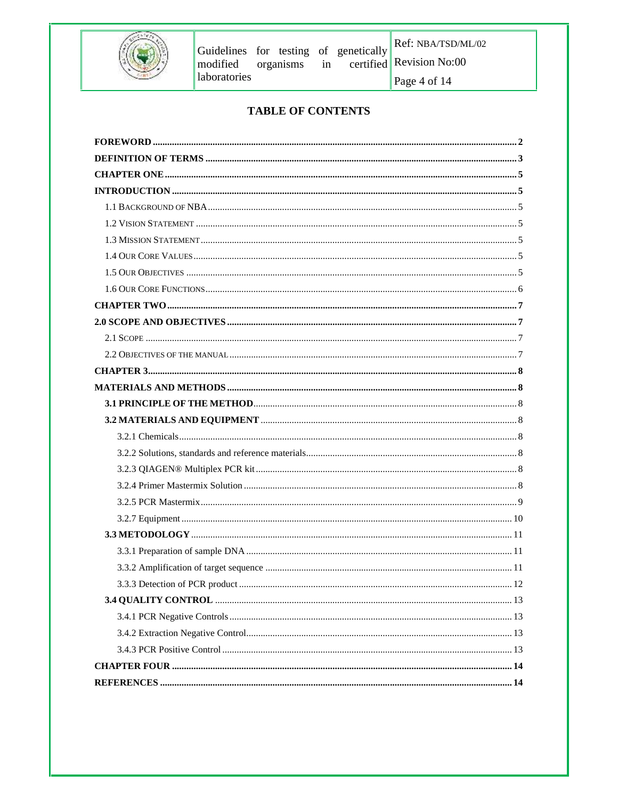

Ref: NBA/TSD/ML/02

Page 4 of 14

# **TABLE OF CONTENTS**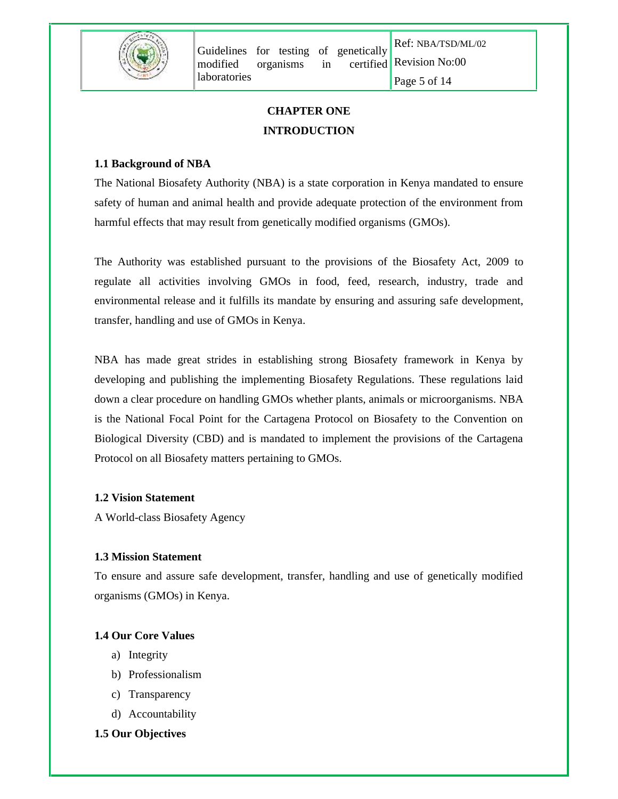

# **CHAPTER ONE INTRODUCTION**

# **1.1 Background of NBA**

The National Biosafety Authority (NBA) is a state corporation in Kenya mandated to ensure safety of human and animal health and provide adequate protection of the environment from harmful effects that may result from genetically modified organisms (GMOs).

The Authority was established pursuant to the provisions of the Biosafety Act, 2009 to regulate all activities involving GMOs in food, feed, research, industry, trade and environmental release and it fulfills its mandate by ensuring and assuring safe development, transfer, handling and use of GMOs in Kenya.

NBA has made great strides in establishing strong Biosafety framework in Kenya by developing and publishing the implementing Biosafety Regulations. These regulations laid down a clear procedure on handling GMOs whether plants, animals or microorganisms. NBA is the National Focal Point for the Cartagena Protocol on Biosafety to the Convention on Biological Diversity (CBD) and is mandated to implement the provisions of the Cartagena Protocol on all Biosafety matters pertaining to GMOs.

#### **1.2 Vision Statement**

A World-class Biosafety Agency

#### **1.3 Mission Statement**

To ensure and assure safe development, transfer, handling and use of genetically modified organisms (GMOs) in Kenya.

#### **1.4 Our Core Values**

- a) Integrity
- b) Professionalism
- c) Transparency
- d) Accountability

# **1.5 Our Objectives**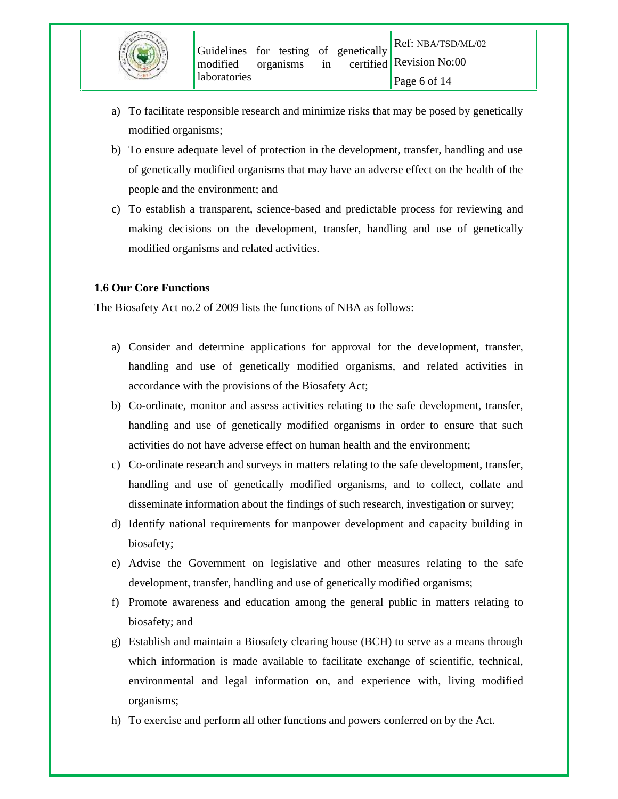- a) To facilitate responsible research and minimize risks that may be posed by genetically modified organisms;
- b) To ensure adequate level of protection in the development, transfer, handling and use of genetically modified organisms that may have an adverse effect on the health of the people and the environment; and
- c) To establish a transparent, science-based and predictable process for reviewing and making decisions on the development, transfer, handling and use of genetically modified organisms and related activities.

# **1.6 Our Core Functions**

The Biosafety Act no.2 of 2009 lists the functions of NBA as follows:

- a) Consider and determine applications for approval for the development, transfer, handling and use of genetically modified organisms, and related activities in accordance with the provisions of the Biosafety Act;
- b) Co-ordinate, monitor and assess activities relating to the safe development, transfer, handling and use of genetically modified organisms in order to ensure that such activities do not have adverse effect on human health and the environment;
- c) Co-ordinate research and surveys in matters relating to the safe development, transfer, handling and use of genetically modified organisms, and to collect, collate and disseminate information about the findings of such research, investigation or survey;
- d) Identify national requirements for manpower development and capacity building in biosafety;
- e) Advise the Government on legislative and other measures relating to the safe development, transfer, handling and use of genetically modified organisms;
- f) Promote awareness and education among the general public in matters relating to biosafety; and
- g) Establish and maintain a Biosafety clearing house (BCH) to serve as a means through which information is made available to facilitate exchange of scientific, technical, environmental and legal information on, and experience with, living modified organisms;
- h) To exercise and perform all other functions and powers conferred on by the Act.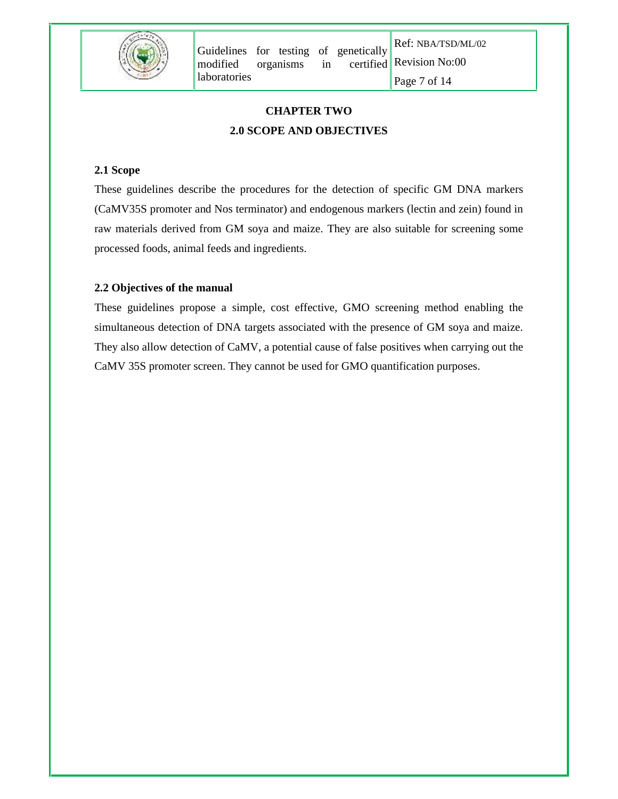

Ref: NBA/TSD/ML/02 Page 7 of 14

# **CHAPTER TWO 2.0 SCOPE AND OBJECTIVES**

# **2.1 Scope**

These guidelines describe the procedures for the detection of specific GM DNA markers (CaMV35S promoter and Nos terminator) and endogenous markers (lectin and zein) found in raw materials derived from GM soya and maize. They are also suitable for screening some processed foods, animal feeds and ingredients.

# **2.2 Objectives of the manual**

These guidelines propose a simple, cost effective, GMO screening method enabling the simultaneous detection of DNA targets associated with the presence of GM soya and maize. They also allow detection of CaMV, a potential cause of false positives when carrying out the CaMV 35S promoter screen. They cannot be used for GMO quantification purposes.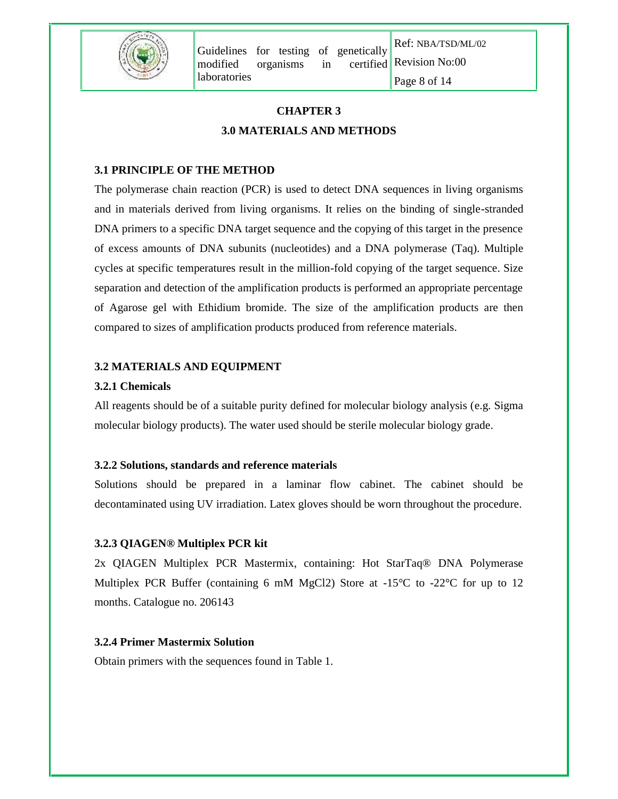

Ref: NBA/TSD/ML/02 Page 8 of 14

# **CHAPTER 3 3.0 MATERIALS AND METHODS**

# **3.1 PRINCIPLE OF THE METHOD**

The polymerase chain reaction (PCR) is used to detect DNA sequences in living organisms and in materials derived from living organisms. It relies on the binding of single-stranded DNA primers to a specific DNA target sequence and the copying of this target in the presence of excess amounts of DNA subunits (nucleotides) and a DNA polymerase (Taq). Multiple cycles at specific temperatures result in the million-fold copying of the target sequence. Size separation and detection of the amplification products is performed an appropriate percentage of Agarose gel with Ethidium bromide. The size of the amplification products are then compared to sizes of amplification products produced from reference materials.

## **3.2 MATERIALS AND EQUIPMENT**

#### **3.2.1 Chemicals**

All reagents should be of a suitable purity defined for molecular biology analysis (e.g. Sigma molecular biology products). The water used should be sterile molecular biology grade.

#### **3.2.2 Solutions, standards and reference materials**

Solutions should be prepared in a laminar flow cabinet. The cabinet should be decontaminated using UV irradiation. Latex gloves should be worn throughout the procedure.

# **3.2.3 QIAGEN® Multiplex PCR kit**

2x QIAGEN Multiplex PCR Mastermix, containing: Hot StarTaq® DNA Polymerase Multiplex PCR Buffer (containing 6 mM MgCl2) Store at  $-15^{\circ}$ C to  $-22^{\circ}$ C for up to 12 months. Catalogue no. 206143

#### **3.2.4 Primer Mastermix Solution**

Obtain primers with the sequences found in Table 1.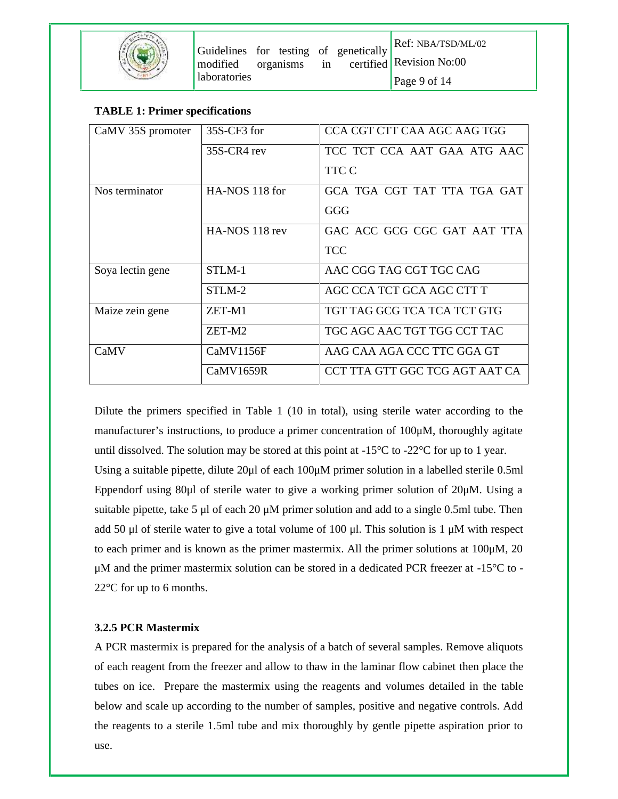## **TABLE 1: Primer specifications**

| CaMV 35S promoter | 35S-CF3 for    | CCA CGT CTT CAA AGC AAG TGG    |
|-------------------|----------------|--------------------------------|
|                   | 35S-CR4 rev    | TCC TCT CCA AAT GAA ATG AAC    |
|                   |                | TTC C                          |
| Nos terminator    | HA-NOS 118 for | GCA TGA CGT TAT TTA TGA GAT    |
|                   |                | GGG                            |
|                   | HA-NOS 118 rev | GAC ACC GCG CGC GAT AAT TTA    |
|                   |                | <b>TCC</b>                     |
| Soya lectin gene  | STLM-1         | AAC CGG TAG CGT TGC CAG        |
|                   | STLM-2         | AGC CCA TCT GCA AGC CTT T      |
| Maize zein gene   | ZET-M1         | TGT TAG GCG TCA TCA TCT GTG    |
|                   | ZET-M2         | TGC AGC AAC TGT TGG CCT TAC    |
| CaMV              | CaMV1156F      | AAG CAA AGA CCC TTC GGA GT     |
|                   | CaMV1659R      | CCT TTA GTT GGC TCG AGT AAT CA |

Dilute the primers specified in Table 1 (10 in total), using sterile water according to the manufacturer's instructions, to produce a primer concentration of 100μM, thoroughly agitate until dissolved. The solution may be stored at this point at  $-15^{\circ}C$  to  $-22^{\circ}C$  for up to 1 year. Using a suitable pipette, dilute 20μl of each 100μM primer solution in a labelled sterile 0.5ml Eppendorf using 80μl of sterile water to give a working primer solution of 20μM. Using a suitable pipette, take 5  $\mu$ l of each 20  $\mu$ M primer solution and add to a single 0.5ml tube. Then add 50 μl of sterile water to give a total volume of 100 μl. This solution is 1 μM with respect to each primer and is known as the primer mastermix. All the primer solutions at 100μM, 20 μM and the primer mastermix solution can be stored in a dedicated PCR freezer at -15°C to - 22°C for up to 6 months.

# **3.2.5 PCR Mastermix**

A PCR mastermix is prepared for the analysis of a batch of several samples. Remove aliquots of each reagent from the freezer and allow to thaw in the laminar flow cabinet then place the tubes on ice. Prepare the mastermix using the reagents and volumes detailed in the table below and scale up according to the number of samples, positive and negative controls. Add the reagents to a sterile 1.5ml tube and mix thoroughly by gentle pipette aspiration prior to use.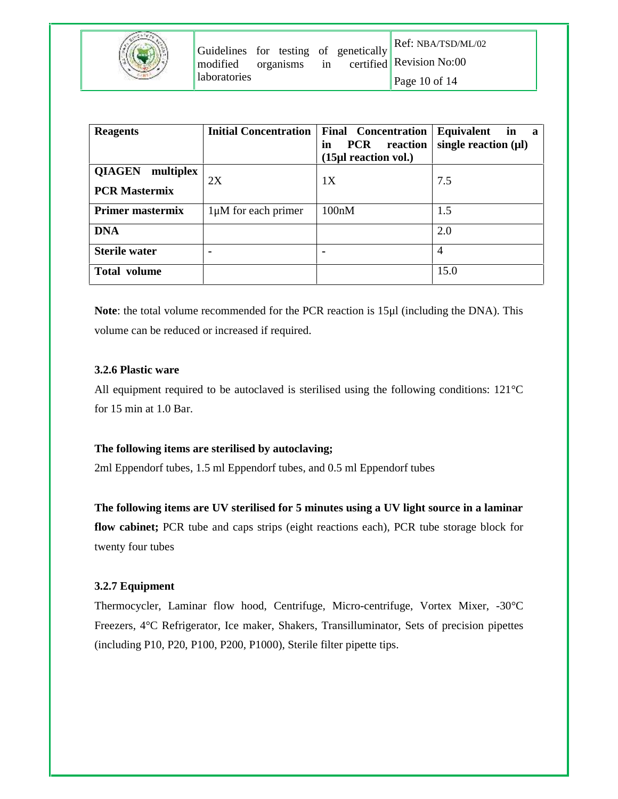| modified     | organisms | $\ $ Guidelines for testing of genetically<br>in | $\ $ Ref: NBA/TSD/ML/02<br>certified Revision No:00 |
|--------------|-----------|--------------------------------------------------|-----------------------------------------------------|
| laboratories |           |                                                  | Page 10 of $14$                                     |

| <b>Reagents</b>                                    | <b>Initial Concentration</b> | <b>Final Concentration</b><br><b>PCR</b><br>reaction<br>in<br>(15µl reaction vol.) | Equivalent<br>in<br>a a<br>single reaction $(\mu\mathbf{l})$ |
|----------------------------------------------------|------------------------------|------------------------------------------------------------------------------------|--------------------------------------------------------------|
| <b>QIAGEN</b><br>multiplex<br><b>PCR Mastermix</b> | 2X                           | 1X                                                                                 | 7.5                                                          |
| <b>Primer mastermix</b>                            | 1µM for each primer          | 100nM                                                                              | 1.5                                                          |
| <b>DNA</b>                                         |                              |                                                                                    | 2.0                                                          |
| <b>Sterile water</b>                               | ۰                            | ٠                                                                                  | $\overline{4}$                                               |
| <b>Total volume</b>                                |                              |                                                                                    | 15.0                                                         |

**Note**: the total volume recommended for the PCR reaction is 15μl (including the DNA). This volume can be reduced or increased if required.

## **3.2.6 Plastic ware**

All equipment required to be autoclaved is sterilised using the following conditions: 121°C for 15 min at 1.0 Bar.

#### **The following items are sterilised by autoclaving;**

2ml Eppendorf tubes, 1.5 ml Eppendorf tubes, and 0.5 ml Eppendorf tubes

**The following items are UV sterilised for 5 minutes using a UV light source in a laminar flow cabinet;** PCR tube and caps strips (eight reactions each), PCR tube storage block for twenty four tubes

# **3.2.7 Equipment**

Thermocycler, Laminar flow hood, Centrifuge, Micro-centrifuge, Vortex Mixer, -30°C Freezers, 4°C Refrigerator, Ice maker, Shakers, Transilluminator, Sets of precision pipettes (including P10, P20, P100, P200, P1000), Sterile filter pipette tips.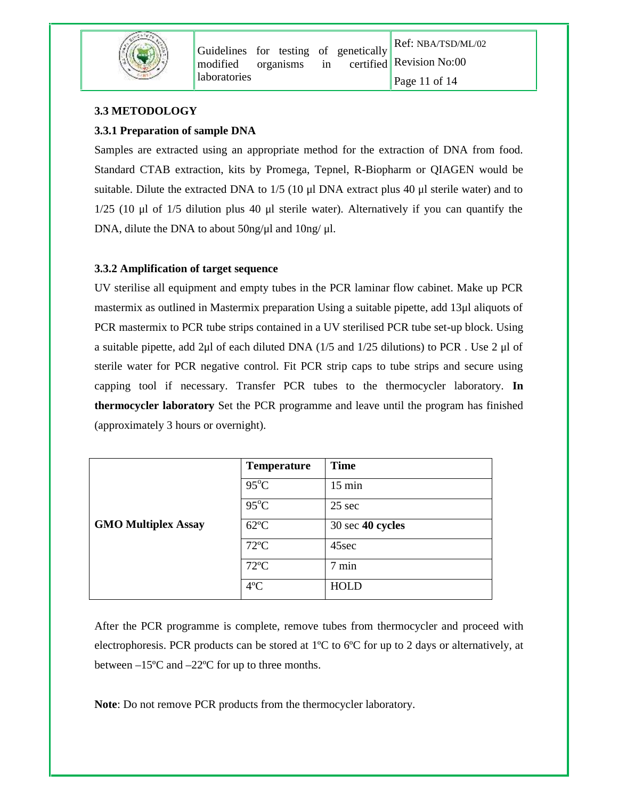

# **3.3 METODOLOGY**

# **3.3.1 Preparation of sample DNA**

Samples are extracted using an appropriate method for the extraction of DNA from food. Standard CTAB extraction, kits by Promega, Tepnel, R-Biopharm or QIAGEN would be suitable. Dilute the extracted DNA to 1/5 (10 μl DNA extract plus 40 μl sterile water) and to 1/25 (10 μl of 1/5 dilution plus 40 μl sterile water). Alternatively if you can quantify the DNA, dilute the DNA to about 50ng/μl and 10ng/ μl.

## **3.3.2 Amplification of target sequence**

UV sterilise all equipment and empty tubes in the PCR laminar flow cabinet. Make up PCR mastermix as outlined in Mastermix preparation Using a suitable pipette, add 13μl aliquots of PCR mastermix to PCR tube strips contained in a UV sterilised PCR tube set-up block. Using a suitable pipette, add 2µl of each diluted DNA  $(1/5$  and  $1/25$  dilutions) to PCR. Use 2 µl of sterile water for PCR negative control. Fit PCR strip caps to tube strips and secure using capping tool if necessary. Transfer PCR tubes to the thermocycler laboratory. **In thermocycler laboratory** Set the PCR programme and leave until the program has finished (approximately 3 hours or overnight).

|                            | <b>Temperature</b> | <b>Time</b>      |
|----------------------------|--------------------|------------------|
|                            | $95^{\circ}$ C     | $15 \text{ min}$ |
|                            | $95^{\circ}$ C     | $25$ sec         |
| <b>GMO Multiplex Assay</b> | $62^{\circ}$ C     | 30 sec 40 cycles |
|                            | $72^{\circ}$ C     | 45sec            |
|                            | $72^{\circ}$ C     | 7 min            |
|                            | $4^{\circ}C$       | <b>HOLD</b>      |

After the PCR programme is complete, remove tubes from thermocycler and proceed with electrophoresis. PCR products can be stored at  $1^{\circ}C$  to  $6^{\circ}C$  for up to 2 days or alternatively, at between –15ºC and –22ºC for up to three months.

**Note**: Do not remove PCR products from the thermocycler laboratory.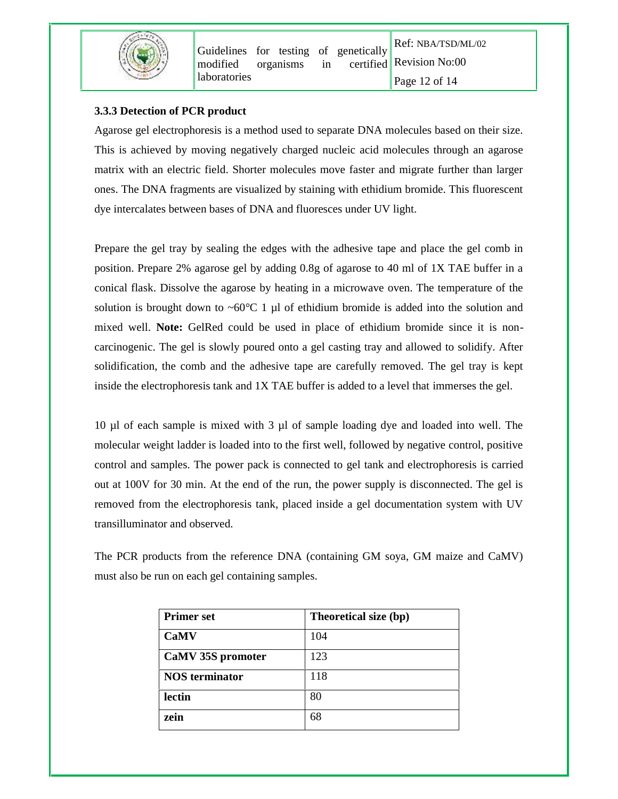

Ref: NBA/TSD/ML/02 Page 12 of 14

#### **3.3.3 Detection of PCR product**

Agarose gel electrophoresis is a method used to separate DNA molecules based on their size. This is achieved by moving negatively charged nucleic acid molecules through an agarose matrix with an electric field. Shorter molecules move faster and migrate further than larger ones. The DNA fragments are visualized by staining with ethidium bromide. This fluorescent dye intercalates between bases of DNA and fluoresces under UV light.

Prepare the gel tray by sealing the edges with the adhesive tape and place the gel comb in position. Prepare 2% agarose gel by adding 0.8g of agarose to 40 ml of 1X TAE buffer in a conical flask. Dissolve the agarose by heating in a microwave oven. The temperature of the solution is brought down to  $\sim 60^{\circ}C$  1 µl of ethidium bromide is added into the solution and mixed well. **Note:** GelRed could be used in place of ethidium bromide since it is non carcinogenic. The gel is slowly poured onto a gel casting tray and allowed to solidify. After solidification, the comb and the adhesive tape are carefully removed. The gel tray is kept inside the electrophoresis tank and 1X TAE buffer is added to a level that immerses the gel.

10 µl of each sample is mixed with 3 µl of sample loading dye and loaded into well. The molecular weight ladder is loaded into to the first well, followed by negative control, positive control and samples. The power pack is connected to gel tank and electrophoresis is carried out at 100V for 30 min. At the end of the run, the power supply is disconnected. The gel is removed from the electrophoresis tank, placed inside a gel documentation system with UV transilluminator and observed.

The PCR products from the reference DNA (containing GM soya, GM maize and CaMV) must also be run on each gel containing samples.

| <b>Primer set</b>     | Theoretical size (bp) |
|-----------------------|-----------------------|
| <b>CaMV</b>           | 104                   |
| CaMV 35S promoter     | 123                   |
| <b>NOS</b> terminator | 118                   |
| lectin                | 80                    |
| zein                  | 68                    |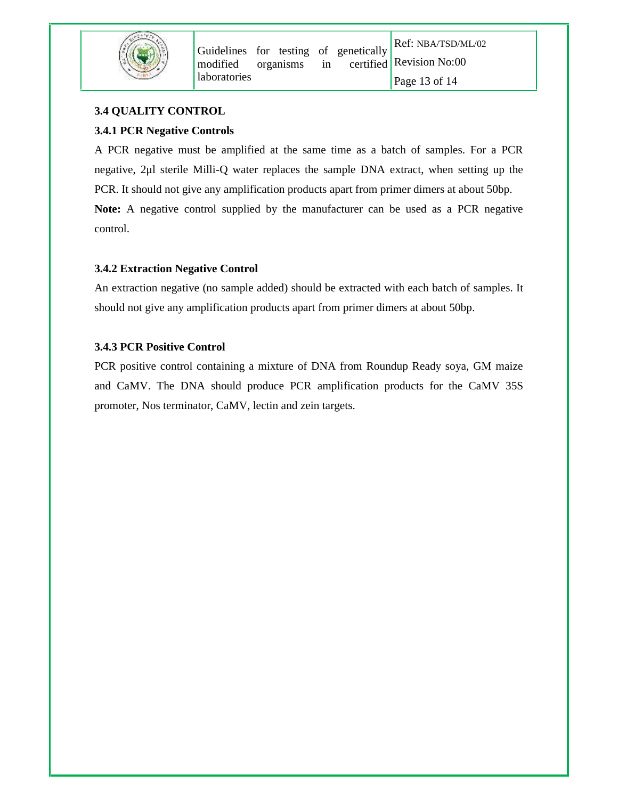

# **3.4 QUALITY CONTROL**

# **3.4.1 PCR Negative Controls**

A PCR negative must be amplified at the same time as a batch of samples. For a PCR negative, 2μl sterile Milli-Q water replaces the sample DNA extract, when setting up the PCR. It should not give any amplification products apart from primer dimers at about 50bp. **Note:** A negative control supplied by the manufacturer can be used as a PCR negative control.

# **3.4.2 Extraction Negative Control**

An extraction negative (no sample added) should be extracted with each batch of samples. It should not give any amplification products apart from primer dimers at about 50bp.

# **3.4.3 PCR Positive Control**

PCR positive control containing a mixture of DNA from Roundup Ready soya, GM maize and CaMV. The DNA should produce PCR amplification products for the CaMV 35S promoter, Nos terminator, CaMV, lectin and zein targets.